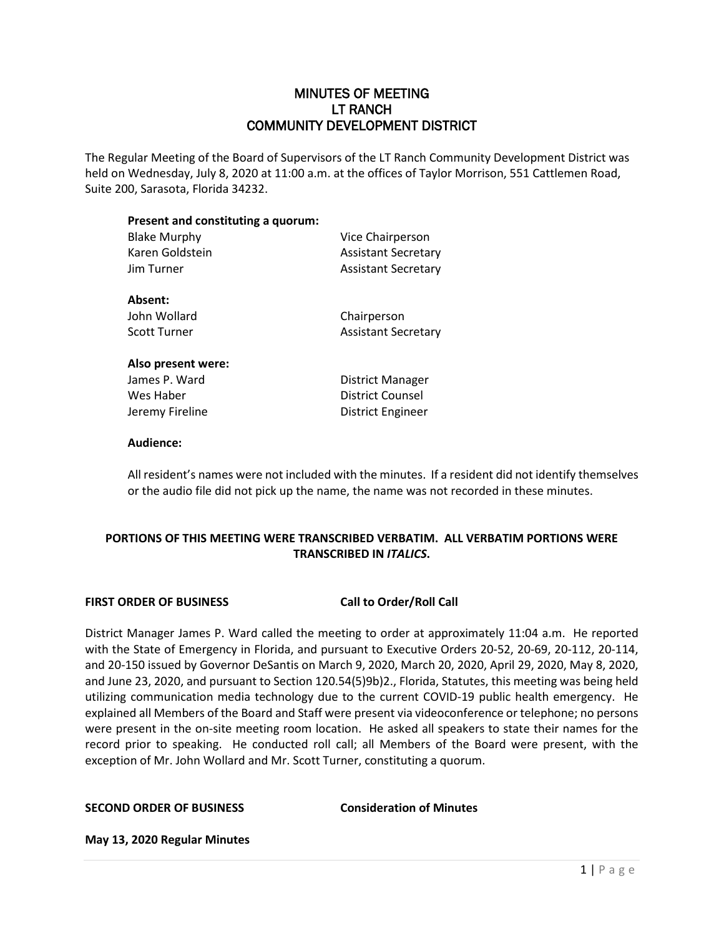# MINUTES OF MEETING LT RANCH COMMUNITY DEVELOPMENT DISTRICT

The Regular Meeting of the Board of Supervisors of the LT Ranch Community Development District was held on Wednesday, July 8, 2020 at 11:00 a.m. at the offices of Taylor Morrison, 551 Cattlemen Road, Suite 200, Sarasota, Florida 34232.

| Present and constituting a quorum:<br><b>Blake Murphy</b><br>Karen Goldstein<br>Jim Turner | Vice Chairperson<br><b>Assistant Secretary</b><br><b>Assistant Secretary</b> |                     |                            |
|--------------------------------------------------------------------------------------------|------------------------------------------------------------------------------|---------------------|----------------------------|
|                                                                                            |                                                                              | Absent:             |                            |
|                                                                                            |                                                                              | John Wollard        | Chairperson                |
|                                                                                            |                                                                              | <b>Scott Turner</b> | <b>Assistant Secretary</b> |
| Also present were:                                                                         |                                                                              |                     |                            |
| James P. Ward                                                                              | District Manager                                                             |                     |                            |
| Wes Haber                                                                                  | <b>District Counsel</b>                                                      |                     |                            |

Jeremy Fireline **District Engineer** 

#### **Audience:**

All resident's names were not included with the minutes. If a resident did not identify themselves or the audio file did not pick up the name, the name was not recorded in these minutes.

# **PORTIONS OF THIS MEETING WERE TRANSCRIBED VERBATIM. ALL VERBATIM PORTIONS WERE TRANSCRIBED IN** *ITALICS***.**

### **FIRST ORDER OF BUSINESS Call to Order/Roll Call**

District Manager James P. Ward called the meeting to order at approximately 11:04 a.m. He reported with the State of Emergency in Florida, and pursuant to Executive Orders 20-52, 20-69, 20-112, 20-114, and 20-150 issued by Governor DeSantis on March 9, 2020, March 20, 2020, April 29, 2020, May 8, 2020, and June 23, 2020, and pursuant to Section 120.54(5)9b)2., Florida, Statutes, this meeting was being held utilizing communication media technology due to the current COVID-19 public health emergency. He explained all Members of the Board and Staff were present via videoconference or telephone; no persons were present in the on-site meeting room location. He asked all speakers to state their names for the record prior to speaking. He conducted roll call; all Members of the Board were present, with the exception of Mr. John Wollard and Mr. Scott Turner, constituting a quorum.

**SECOND ORDER OF BUSINESS Consideration of Minutes**

**May 13, 2020 Regular Minutes**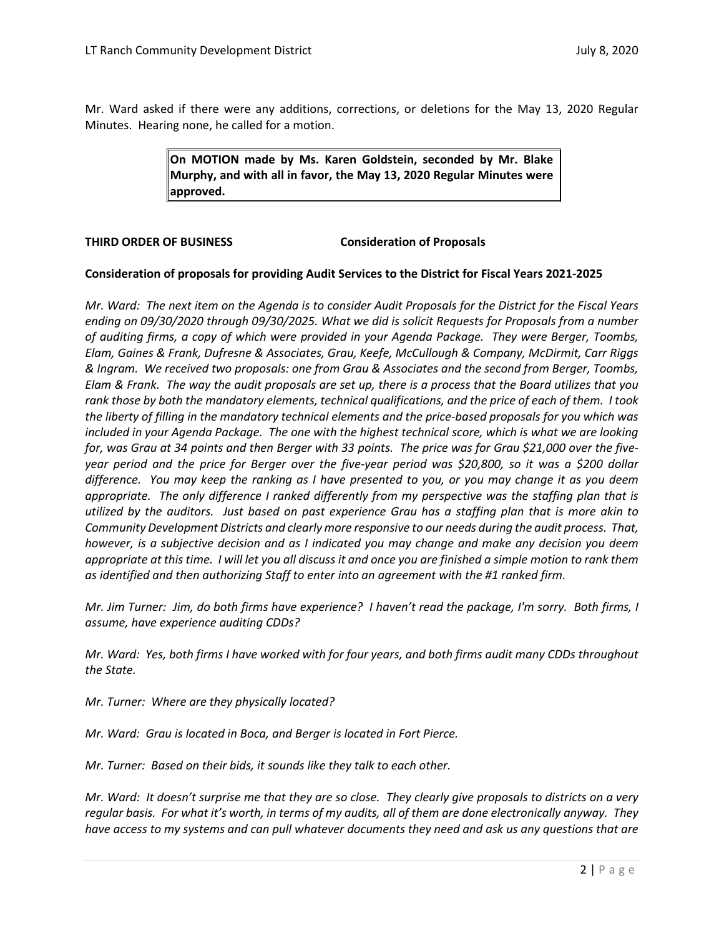Mr. Ward asked if there were any additions, corrections, or deletions for the May 13, 2020 Regular Minutes. Hearing none, he called for a motion.

> **On MOTION made by Ms. Karen Goldstein, seconded by Mr. Blake Murphy, and with all in favor, the May 13, 2020 Regular Minutes were approved.**

## **THIRD ORDER OF BUSINESS Consideration of Proposals**

## **Consideration of proposals for providing Audit Services to the District for Fiscal Years 2021-2025**

*Mr. Ward: The next item on the Agenda is to consider Audit Proposals for the District for the Fiscal Years ending on 09/30/2020 through 09/30/2025. What we did is solicit Requests for Proposals from a number of auditing firms, a copy of which were provided in your Agenda Package. They were Berger, Toombs, Elam, Gaines & Frank, Dufresne & Associates, Grau, Keefe, McCullough & Company, McDirmit, Carr Riggs & Ingram. We received two proposals: one from Grau & Associates and the second from Berger, Toombs, Elam & Frank. The way the audit proposals are set up, there is a process that the Board utilizes that you rank those by both the mandatory elements, technical qualifications, and the price of each of them. I took the liberty of filling in the mandatory technical elements and the price-based proposals for you which was included in your Agenda Package. The one with the highest technical score, which is what we are looking for, was Grau at 34 points and then Berger with 33 points. The price was for Grau \$21,000 over the fiveyear period and the price for Berger over the five-year period was \$20,800, so it was a \$200 dollar difference. You may keep the ranking as I have presented to you, or you may change it as you deem appropriate. The only difference I ranked differently from my perspective was the staffing plan that is utilized by the auditors. Just based on past experience Grau has a staffing plan that is more akin to Community Development Districts and clearly more responsive to our needs during the audit process. That, however, is a subjective decision and as I indicated you may change and make any decision you deem appropriate at this time. I will let you all discuss it and once you are finished a simple motion to rank them as identified and then authorizing Staff to enter into an agreement with the #1 ranked firm.* 

*Mr. Jim Turner: Jim, do both firms have experience? I haven't read the package, I'm sorry. Both firms, I assume, have experience auditing CDDs?* 

*Mr. Ward: Yes, both firms I have worked with for four years, and both firms audit many CDDs throughout the State.* 

*Mr. Turner: Where are they physically located?*

*Mr. Ward: Grau is located in Boca, and Berger is located in Fort Pierce.* 

*Mr. Turner: Based on their bids, it sounds like they talk to each other.*

*Mr. Ward: It doesn't surprise me that they are so close. They clearly give proposals to districts on a very regular basis. For what it's worth, in terms of my audits, all of them are done electronically anyway. They have access to my systems and can pull whatever documents they need and ask us any questions that are*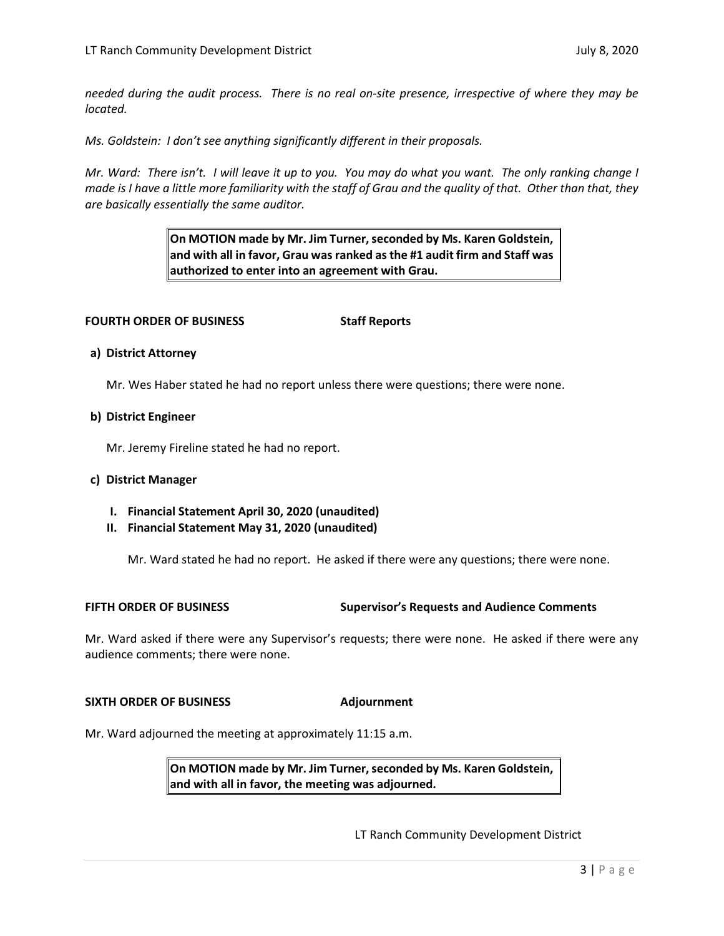*needed during the audit process. There is no real on-site presence, irrespective of where they may be located.* 

*Ms. Goldstein: I don't see anything significantly different in their proposals.* 

*Mr. Ward: There isn't. I will leave it up to you. You may do what you want. The only ranking change I made is I have a little more familiarity with the staff of Grau and the quality of that. Other than that, they are basically essentially the same auditor.* 

> **On MOTION made by Mr. Jim Turner, seconded by Ms. Karen Goldstein, and with all in favor, Grau was ranked as the #1 audit firm and Staff was authorized to enter into an agreement with Grau.**

## **FOURTH ORDER OF BUSINESS Staff Reports**

### **a) District Attorney**

Mr. Wes Haber stated he had no report unless there were questions; there were none.

### **b) District Engineer**

Mr. Jeremy Fireline stated he had no report.

### **c) District Manager**

- **I. Financial Statement April 30, 2020 (unaudited)**
- **II. Financial Statement May 31, 2020 (unaudited)**

Mr. Ward stated he had no report. He asked if there were any questions; there were none.

**FIFTH ORDER OF BUSINESS Supervisor's Requests and Audience Comments**

Mr. Ward asked if there were any Supervisor's requests; there were none. He asked if there were any audience comments; there were none.

### **SIXTH ORDER OF BUSINESS Adjournment**

Mr. Ward adjourned the meeting at approximately 11:15 a.m.

**On MOTION made by Mr. Jim Turner, seconded by Ms. Karen Goldstein, and with all in favor, the meeting was adjourned.** 

LT Ranch Community Development District